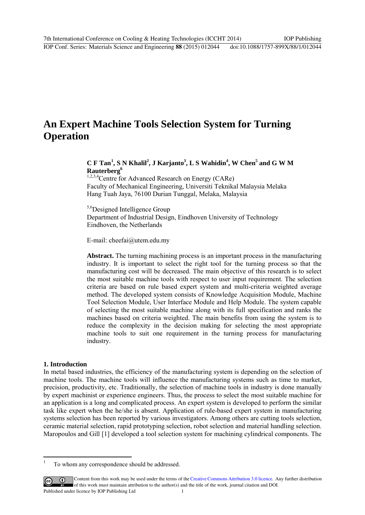# **An Expert Machine Tools Selection System for Turning Operation**

# $C F Tan<sup>1</sup>$  $C F Tan<sup>1</sup>$  $C F Tan<sup>1</sup>$ , S N Khalil<sup>2</sup>, J Karjanto<sup>3</sup>, L S Wahidin<sup>4</sup>, W Chen<sup>5</sup> and G W M **Rauterberg6**

1,2,3,4 Centre for Advanced Research on Energy (CARe) Faculty of Mechanical Engineering, Universiti Teknikal Malaysia Melaka Hang Tuah Jaya, 76100 Durian Tunggal, Melaka, Malaysia

<sup>5,6</sup>Designed Intelligence Group Department of Industrial Design, Eindhoven University of Technology Eindhoven, the Netherlands

E-mail: cheefai@utem.edu.my

**Abstract.** The turning machining process is an important process in the manufacturing industry. It is important to select the right tool for the turning process so that the manufacturing cost will be decreased. The main objective of this research is to select the most suitable machine tools with respect to user input requirement. The selection criteria are based on rule based expert system and multi-criteria weighted average method. The developed system consists of Knowledge Acquisition Module, Machine Tool Selection Module, User Interface Module and Help Module. The system capable of selecting the most suitable machine along with its full specification and ranks the machines based on criteria weighted. The main benefits from using the system is to reduce the complexity in the decision making for selecting the most appropriate machine tools to suit one requirement in the turning process for manufacturing industry.

#### **1. Introduction**

In metal based industries, the efficiency of the manufacturing system is depending on the selection of machine tools. The machine tools will influence the manufacturing systems such as time to market, precision, productivity, etc. Traditionally, the selection of machine tools in industry is done manually by expert machinist or experience engineers. Thus, the process to select the most suitable machine for an application is a long and complicated process. An expert system is developed to perform the similar task like expert when the he/she is absent. Application of rule-based expert system in manufacturing systems selection has been reported by various investigators. Among others are cutting tools selection, ceramic material selection, rapid prototyping selection, robot selection and material handling selection. Maropoulos and Gill [1] developed a tool selection system for machining cylindrical components. The

<span id="page-0-0"></span> $\overline{\cdot}$ 1 To whom any correspondence should be addressed.

Content from this work may be used under the terms of theCreative Commons Attribution 3.0 licence. Any further distribution  $\vert$  (cc) of this work must maintain attribution to the author(s) and the title of the work, journal citation and DOI.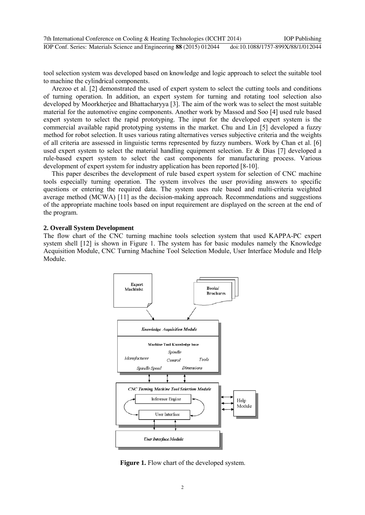tool selection system was developed based on knowledge and logic approach to select the suitable tool to machine the cylindrical components.

Arezoo et al. [2] demonstrated the used of expert system to select the cutting tools and conditions of turning operation. In addition, an expert system for turning and rotating tool selection also developed by Moorkherjee and Bhattacharyya [3]. The aim of the work was to select the most suitable material for the automotive engine components. Another work by Massod and Soo [4] used rule based expert system to select the rapid prototyping. The input for the developed expert system is the commercial available rapid prototyping systems in the market. Chu and Lin [5] developed a fuzzy method for robot selection. It uses various rating alternatives verses subjective criteria and the weights of all criteria are assessed in linguistic terms represented by fuzzy numbers. Work by Chan et al. [6] used expert system to select the material handling equipment selection. Er & Dias [7] developed a rule-based expert system to select the cast components for manufacturing process. Various development of expert system for industry application has been reported [8-10].

This paper describes the development of rule based expert system for selection of CNC machine tools especially turning operation. The system involves the user providing answers to specific questions or entering the required data. The system uses rule based and multi-criteria weighted average method (MCWA) [11] as the decision-making approach. Recommendations and suggestions of the appropriate machine tools based on input requirement are displayed on the screen at the end of the program.

#### **2. Overall System Development**

The flow chart of the CNC turning machine tools selection system that used KAPPA-PC expert system shell [12] is shown in Figure 1. The system has for basic modules namely the Knowledge Acquisition Module, CNC Turning Machine Tool Selection Module, User Interface Module and Help Module.



**Figure 1.** Flow chart of the developed system.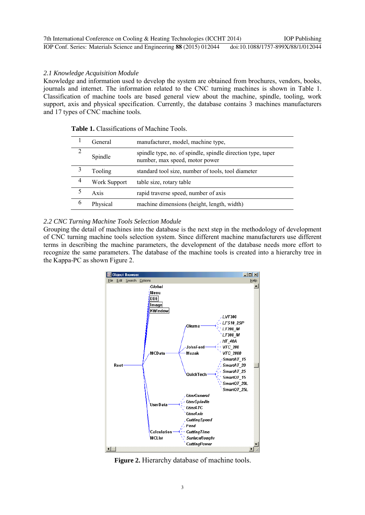## *2.1 Knowledge Acquisition Module*

Knowledge and information used to develop the system are obtained from brochures, vendors, books, journals and internet. The information related to the CNC turning machines is shown in Table 1. Classification of machine tools are based general view about the machine, spindle, tooling, work support, axis and physical specification. Currently, the database contains 3 machines manufacturers and 17 types of CNC machine tools.

|    | manufacturer, model, machine type,<br>General |                                                                                               |  |  |
|----|-----------------------------------------------|-----------------------------------------------------------------------------------------------|--|--|
| 2  | Spindle                                       | spindle type, no. of spindle, spindle direction type, taper<br>number, max speed, motor power |  |  |
|    | Tooling                                       | standard tool size, number of tools, tool diameter                                            |  |  |
| 4  | Work Support                                  | table size, rotary table                                                                      |  |  |
| -5 | Axis                                          | rapid traverse speed, number of axis                                                          |  |  |
|    | Physical                                      | machine dimensions (height, length, width)                                                    |  |  |

# *2.2 CNC Turning Machine Tools Selection Module*

Grouping the detail of machines into the database is the next step in the methodology of development of CNC turning machine tools selection system. Since different machine manufacturers use different terms in describing the machine parameters, the development of the database needs more effort to recognize the same parameters. The database of the machine tools is created into a hierarchy tree in the Kappa-PC as shown Figure 2.



**Figure 2.** Hierarchy database of machine tools.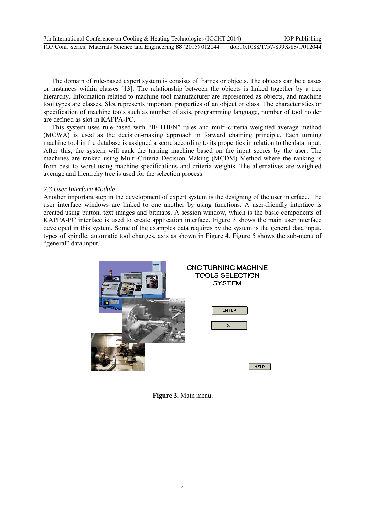The domain of rule-based expert system is consists of frames or objects. The objects can be classes or instances within classes [13]. The relationship between the objects is linked together by a tree hierarchy. Information related to machine tool manufacturer are represented as objects, and machine tool types are classes. Slot represents important properties of an object or class. The characteristics or specification of machine tools such as number of axis, programming language, number of tool holder are defined as slot in KAPPA-PC.

This system uses rule-based with "IF-THEN" rules and multi-criteria weighted average method (MCWA) is used as the decision-making approach in forward chaining principle. Each turning machine tool in the database is assigned a score according to its properties in relation to the data input. After this, the system will rank the turning machine based on the input scores by the user. The machines are ranked using Multi-Criteria Decision Making (MCDM) Method where the ranking is from best to worst using machine specifications and criteria weights. The alternatives are weighted average and hierarchy tree is used for the selection process.

#### *2.3 User Interface Module*

Another important step in the development of expert system is the designing of the user interface. The user interface windows are linked to one another by using functions. A user-friendly interface is created using button, text images and bitmaps. A session window, which is the basic components of KAPPA-PC interface is used to create application interface. Figure 3 shows the main user interface developed in this system. Some of the examples data requires by the system is the general data input, types of spindle, automatic tool changes, axis as shown in Figure 4. Figure 5 shows the sub-menu of "general" data input.



**Figure 3.** Main menu.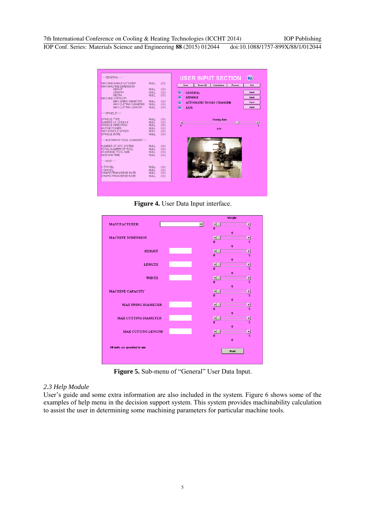7th International Conference on Cooling & Heating Technologies (ICCHT 2014) IOP Publishing IOP Conf. Series: Materials Science and Engineering **88** (2015) 012044 doi:10.1088/1757-899X/88/1/012044



**Figure 4.** User Data Input interface.



**Figure 5.** Sub-menu of "General" User Data Input.

#### *2.3 Help Module*

User's guide and some extra information are also included in the system. Figure 6 shows some of the examples of help menu in the decision support system. This system provides machinability calculation to assist the user in determining some machining parameters for particular machine tools.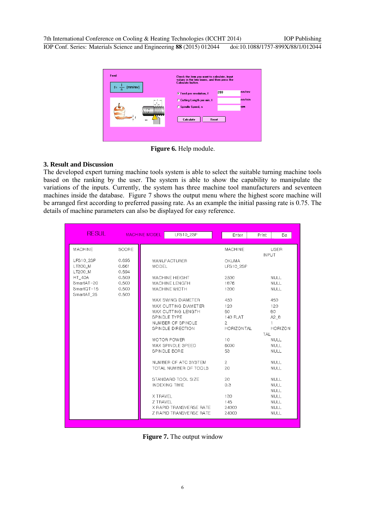7th International Conference on Cooling & Heating Technologies (ICCHT 2014) IOP Publishing IOP Conf. Series: Materials Science and Engineering **88** (2015) 012044 doi:10.1088/1757-899X/88/1/012044

|                          |                                  |     | Check the item you want to calculate, input<br>values in the two boxes, and then press the<br><b>Calculate button.</b> |  |  |  |  |
|--------------------------|----------------------------------|-----|------------------------------------------------------------------------------------------------------------------------|--|--|--|--|
|                          | ⊙ Feed per revolution, f         | 200 | mm/rev                                                                                                                 |  |  |  |  |
| <b>START COMPANY</b>     | C Cutting Length per min, I      |     | mm/min                                                                                                                 |  |  |  |  |
| $\overline{\phantom{a}}$ | C Spindle Speed, n               |     | rpm                                                                                                                    |  |  |  |  |
|                          | <b>Calculate</b><br><b>Reset</b> |     |                                                                                                                        |  |  |  |  |

**Figure 6.** Help module.

#### **3. Result and Discussion**

The developed expert turning machine tools system is able to select the suitable turning machine tools based on the ranking by the user. The system is able to show the capability to manipulate the variations of the inputs. Currently, the system has three machine tool manufacturers and seventeen machines inside the database. Figure 7 shows the output menu where the highest score machine will be arranged first according to preferred passing rate. As an example the initial passing rate is 0.75. The details of machine parameters can also be displayed for easy reference.

| <b>RESUL</b>                               |                         | <b>MACHINE MODEL</b>                              | LFS10 2SP                                               |  | Enter                | Print        | Ba                                                       |  |
|--------------------------------------------|-------------------------|---------------------------------------------------|---------------------------------------------------------|--|----------------------|--------------|----------------------------------------------------------|--|
| <b>MACHINE</b>                             | SCORE                   |                                                   |                                                         |  | <b>MACHINE</b>       |              | <b>USER</b>                                              |  |
| LFS10 2SP<br>LT300 M<br>LT200 M            | 0.895<br>0.661<br>0.594 | MODEL                                             | <b>MANUFACTURER</b>                                     |  | OKUMA<br>LFS10 2SP   | <b>INPUT</b> |                                                          |  |
| <b>HT 40A</b><br>SmartAT-20<br>$SmatQT-15$ | 0.509<br>0.500<br>0.500 | MACHINE HEIGHT<br>MACHINE LENGTH<br>MACHINE WIDTH |                                                         |  | 2500<br>1876<br>1300 |              | <b>NULL</b><br><b>NULL</b><br><b>NULL</b>                |  |
| SmartAT 25                                 | 0.500                   |                                                   | MAX SWING DIAMETER<br>MAX CUTTING DIAMETER.             |  | 450<br>120           |              | 450<br>120                                               |  |
|                                            |                         |                                                   | MAX CUTTING LENGTH<br>SPINDLE TYPE<br>NUMBER OF SPINDLE |  | 80<br>140 FLAT<br>2  |              | 80<br>A2 8<br>$\mathbf{1}$                               |  |
|                                            |                         |                                                   | SPINDLE DIRECTION                                       |  | <b>HORIZONTAL</b>    |              | <b>HORIZON</b><br>TAL                                    |  |
|                                            |                         |                                                   | <b>MOTOR POWER</b><br>MAX SPINDLE SPEED.                |  | 10<br>6000           |              | <b>NULL</b><br><b>NULL</b>                               |  |
|                                            |                         |                                                   | SPINDLE BORE                                            |  | 53.                  |              | <b>NULL</b>                                              |  |
|                                            |                         |                                                   | NUMBER OF ATC SYSTEM.<br>TOTAL NUMBER OF TOOLS          |  | $\overline{2}$<br>20 |              | <b>NULL</b><br><b>NULL</b>                               |  |
|                                            |                         |                                                   | STANDARD TOOL SIZE<br><b>INDEXING TIME</b>              |  | 20<br>0.3            |              | <b>NULL</b><br><b>NULL</b>                               |  |
|                                            |                         | X TRAVEL<br>Z TRAVEL                              | X RAPID TRANSVERSE RATE                                 |  | 130<br>145<br>24000  |              | <b>NULL</b><br><b>NULL</b><br><b>NULL</b><br><b>NULL</b> |  |
|                                            |                         |                                                   | Z RAPID TRANSVERSE RATE                                 |  | 24000                |              | <b>NULL</b>                                              |  |

**Figure 7.** The output window